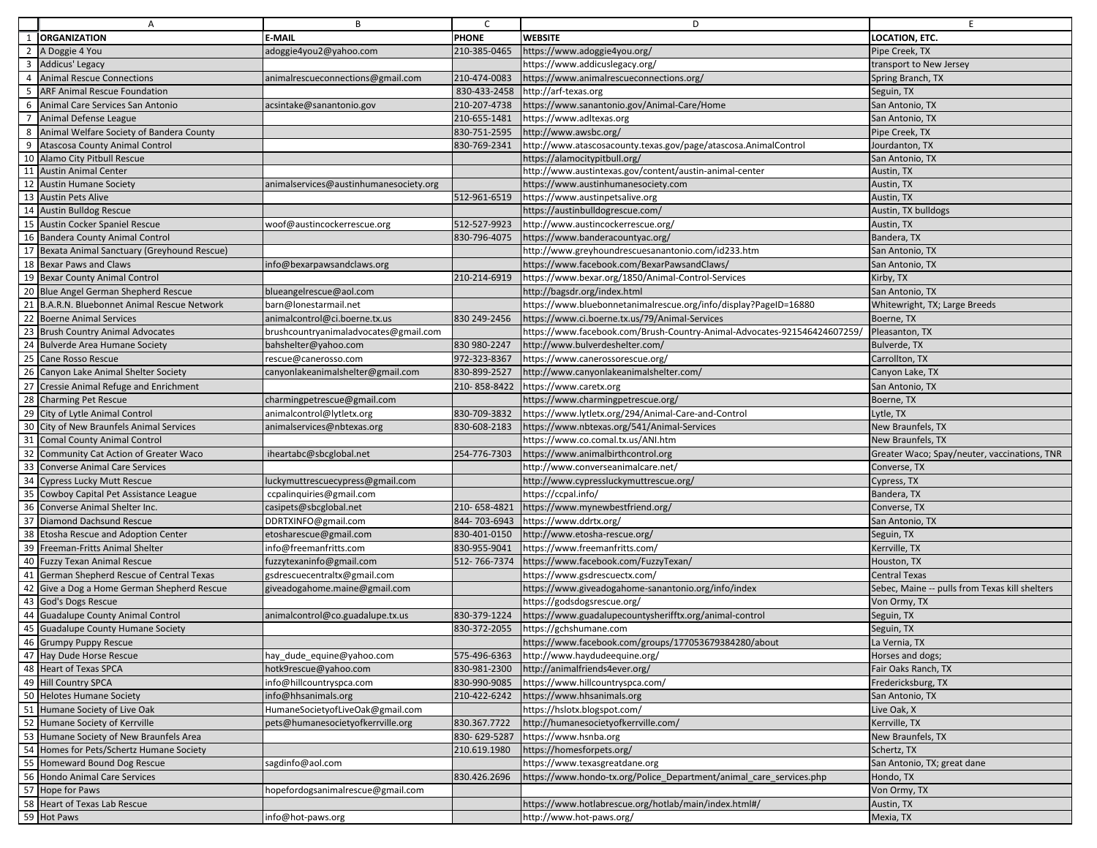|                | A                                           | B                                      | $\mathsf{C}$ | D                                                                        | E                                              |
|----------------|---------------------------------------------|----------------------------------------|--------------|--------------------------------------------------------------------------|------------------------------------------------|
|                | <b>ORGANIZATION</b>                         | <b>E-MAIL</b>                          | <b>PHONE</b> | <b>WEBSITE</b>                                                           | LOCATION, ETC.                                 |
|                | A Doggie 4 You                              | adoggie4you2@yahoo.com                 | 210-385-0465 | https://www.adoggie4you.org/                                             | Pipe Creek, TX                                 |
| 3              | Addicus' Legacy                             |                                        |              | https://www.addicuslegacy.org/                                           | transport to New Jersey                        |
| $\overline{4}$ | <b>Animal Rescue Connections</b>            | animalrescueconnections@gmail.com      | 210-474-0083 | https://www.animalrescueconnections.org/                                 | Spring Branch, TX                              |
| -5             | <b>ARF Animal Rescue Foundation</b>         |                                        | 830-433-2458 | http://arf-texas.org                                                     | Seguin, TX                                     |
| 6              | Animal Care Services San Antonio            | acsintake@sanantonio.gov               | 210-207-4738 | https://www.sanantonio.gov/Animal-Care/Home                              | San Antonio, TX                                |
|                | Animal Defense League                       |                                        | 210-655-1481 | nttps://www.adltexas.org                                                 | San Antonio, TX                                |
| 8              | Animal Welfare Society of Bandera County    |                                        | 830-751-2595 | http://www.awsbc.org/                                                    | Pipe Creek, TX                                 |
| 9              | Atascosa County Animal Control              |                                        | 830-769-2341 | http://www.atascosacounty.texas.gov/page/atascosa.AnimalControl          | Jourdanton, TX                                 |
|                | 10 Alamo City Pitbull Rescue                |                                        |              | https://alamocitypitbull.org/                                            | San Antonio, TX                                |
| 11             | <b>Austin Animal Center</b>                 |                                        |              | http://www.austintexas.gov/content/austin-animal-center                  | Austin, TX                                     |
| 12             | <b>Austin Humane Society</b>                | animalservices@austinhumanesociety.org |              | https://www.austinhumanesociety.com                                      | Austin, TX                                     |
| 13             | <b>Austin Pets Alive</b>                    |                                        | 512-961-6519 | https://www.austinpetsalive.org                                          | Austin, TX                                     |
| 14             | <b>Austin Bulldog Rescue</b>                |                                        |              | https://austinbulldogrescue.com/                                         | Austin, TX bulldogs                            |
|                | 15 Austin Cocker Spaniel Rescue             | woof@austincockerrescue.org            | 512-527-9923 | http://www.austincockerrescue.org/                                       | Austin, TX                                     |
| 16             | <b>Bandera County Animal Control</b>        |                                        | 830-796-4075 | https://www.banderacountyac.org/                                         | Bandera, TX                                    |
| 17             | Bexata Animal Sanctuary (Greyhound Rescue)  |                                        |              | nttp://www.greyhoundrescuesanantonio.com/id233.htm                       | San Antonio, TX                                |
| 18             | <b>Bexar Paws and Claws</b>                 | info@bexarpawsandclaws.org             |              | https://www.facebook.com/BexarPawsandClaws/                              | San Antonio, TX                                |
|                | 19 Bexar County Animal Control              |                                        | 210-214-6919 | https://www.bexar.org/1850/Animal-Control-Services                       | Kirby, TX                                      |
|                | 20 Blue Angel German Shepherd Rescue        | blueangelrescue@aol.com                |              | http://bagsdr.org/index.html                                             | San Antonio, TX                                |
| 21             | B.A.R.N. Bluebonnet Animal Rescue Network   | barn@lonestarmail.net                  |              | https://www.bluebonnetanimalrescue.org/info/display?PageID=16880         | Whitewright, TX; Large Breeds                  |
| 22             | <b>Boerne Animal Services</b>               | animalcontrol@ci.boerne.tx.us          | 830 249-2456 | https://www.ci.boerne.tx.us/79/Animal-Services                           | Boerne, TX                                     |
| 23             | <b>Brush Country Animal Advocates</b>       | brushcountryanimaladvocates@gmail.com  |              | https://www.facebook.com/Brush-Country-Animal-Advocates-921546424607259/ | Pleasanton, TX                                 |
| 24             | <b>Bulverde Area Humane Society</b>         | bahshelter@yahoo.com                   | 830 980-2247 | http://www.bulverdeshelter.com/                                          | Bulverde, TX                                   |
| 25             | Cane Rosso Rescue                           | rescue@canerosso.com                   | 972-323-8367 | https://www.canerossorescue.org/                                         | Carrollton, TX                                 |
| 26             | Canyon Lake Animal Shelter Society          | canyonlakeanimalshelter@gmail.com      | 830-899-2527 | http://www.canyonlakeanimalshelter.com/                                  | Canyon Lake, TX                                |
|                | 27 Cressie Animal Refuge and Enrichment     |                                        | 210-858-8422 | https://www.caretx.org                                                   | San Antonio, TX                                |
| 28             | <b>Charming Pet Rescue</b>                  | charmingpetrescue@gmail.com            |              | https://www.charmingpetrescue.org/                                       | Boerne, TX                                     |
| 29             | City of Lytle Animal Control                | animalcontrol@lytletx.org              | 830-709-3832 | https://www.lytletx.org/294/Animal-Care-and-Control                      | Lytle, TX                                      |
| 30             | City of New Braunfels Animal Services       | animalservices@nbtexas.org             | 830-608-2183 | https://www.nbtexas.org/541/Animal-Services                              | New Braunfels, TX                              |
| 31             | <b>Comal County Animal Control</b>          |                                        |              | https://www.co.comal.tx.us/ANI.htm                                       | New Braunfels, TX                              |
| 32             | Community Cat Action of Greater Waco        | iheartabc@sbcglobal.net                | 254-776-7303 | nttps://www.animalbirthcontrol.org                                       | Greater Waco; Spay/neuter, vaccinations, TNR   |
| 33             | <b>Converse Animal Care Services</b>        |                                        |              | http://www.converseanimalcare.net/                                       | Converse, TX                                   |
| 34             | Cypress Lucky Mutt Rescue                   | luckymuttrescuecypress@gmail.com       |              | http://www.cypressluckymuttrescue.org/                                   | Cypress, TX                                    |
| 35             | Cowboy Capital Pet Assistance League        | ccpalinquiries@gmail.com               |              | https://ccpal.info/                                                      | Bandera, TX                                    |
| 36             | Converse Animal Shelter Inc.                | casipets@sbcglobal.net                 | 210-658-4821 | https://www.mynewbestfriend.org/                                         | Converse, TX                                   |
| 37             | Diamond Dachsund Rescue                     | DDRTXINFO@gmail.com                    | 844-703-6943 | https://www.ddrtx.org/                                                   | San Antonio, TX                                |
| 38             | Etosha Rescue and Adoption Center           | etosharescue@gmail.com                 | 830-401-0150 | http://www.etosha-rescue.org/                                            | Seguin, TX                                     |
| 39             | Freeman-Fritts Animal Shelter               | info@freemanfritts.com                 | 830-955-9041 | https://www.freemanfritts.com/                                           | Kerrville, TX                                  |
| 40             | <b>Fuzzy Texan Animal Rescue</b>            | fuzzytexaninfo@gmail.com               | 512-766-7374 | https://www.facebook.com/FuzzyTexan/                                     | Houston, TX                                    |
| 41             | German Shepherd Rescue of Central Texas     | gsdrescuecentraltx@gmail.com           |              | /1ttps://www.gsdrescuectx.com                                            | <b>Central Texas</b>                           |
|                | 42 Give a Dog a Home German Shepherd Rescue | giveadogahome.maine@gmail.com          |              | https://www.giveadogahome-sanantonio.org/info/index                      | Sebec, Maine -- pulls from Texas kill shelters |
| 43             | God's Dogs Rescue                           |                                        |              | https://godsdogsrescue.org/                                              | Von Ormy, TX                                   |
| 44             | <b>Guadalupe County Animal Control</b>      | animalcontrol@co.guadalupe.tx.us       | 830-379-1224 | https://www.guadalupecountysherifftx.org/animal-control                  | Seguin, TX                                     |
| 45             | <b>Guadalupe County Humane Society</b>      |                                        | 830-372-2055 | https://gchshumane.com                                                   | Seguin, TX                                     |
|                | 46 [Grumpy Puppy Rescue                     |                                        |              | https://www.facebook.com/groups/177053679384280/about                    | La Vernia, TX                                  |
|                | 47 Hay Dude Horse Rescue                    | hay_dude_equine@yahoo.com              | 575-496-6363 | http://www.haydudeequine.org/                                            | Horses and dogs;                               |
|                | 48 Heart of Texas SPCA                      | hotk9rescue@yahoo.com                  | 830-981-2300 | http://animalfriends4ever.org/                                           | Fair Oaks Ranch, TX                            |
|                | 49 Hill Country SPCA                        | info@hillcountryspca.com               | 830-990-9085 | https://www.hillcountryspca.com/                                         | Fredericksburg, TX                             |
|                | 50 Helotes Humane Society                   | info@hhsanimals.org                    | 210-422-6242 | nttps://www.hhsanimals.org                                               | San Antonio, TX                                |
|                | 51 Humane Society of Live Oak               | HumaneSocietyofLiveOak@gmail.com       |              | https://hslotx.blogspot.com/                                             | Live Oak, X                                    |
|                | 52 Humane Society of Kerrville              | pets@humanesocietyofkerrville.org      | 830.367.7722 | http://humanesocietyofkerrville.com/                                     | Kerrville, TX                                  |
| 53             | Humane Society of New Braunfels Area        |                                        | 830-629-5287 | https://www.hsnba.org                                                    | New Braunfels, TX                              |
|                | 54 Homes for Pets/Schertz Humane Society    |                                        | 210.619.1980 | https://homesforpets.org/                                                | Schertz, TX                                    |
|                | 55 Homeward Bound Dog Rescue                | agdinfo@aol.com                        |              | https://www.texasgreatdane.org                                           | San Antonio, TX; great dane                    |
|                | 56 Hondo Animal Care Services               |                                        | 830.426.2696 | https://www.hondo-tx.org/Police Department/animal care services.php      | Hondo, TX                                      |
|                | 57 Hope for Paws                            | nopefordogsanimalrescue@gmail.com      |              |                                                                          | Von Ormy, TX                                   |
|                | 58 Heart of Texas Lab Rescue                |                                        |              | https://www.hotlabrescue.org/hotlab/main/index.html#/                    | Austin, TX                                     |
|                | 59 Hot Paws                                 | info@hot-paws.org                      |              | http://www.hot-paws.org/                                                 | Mexia, TX                                      |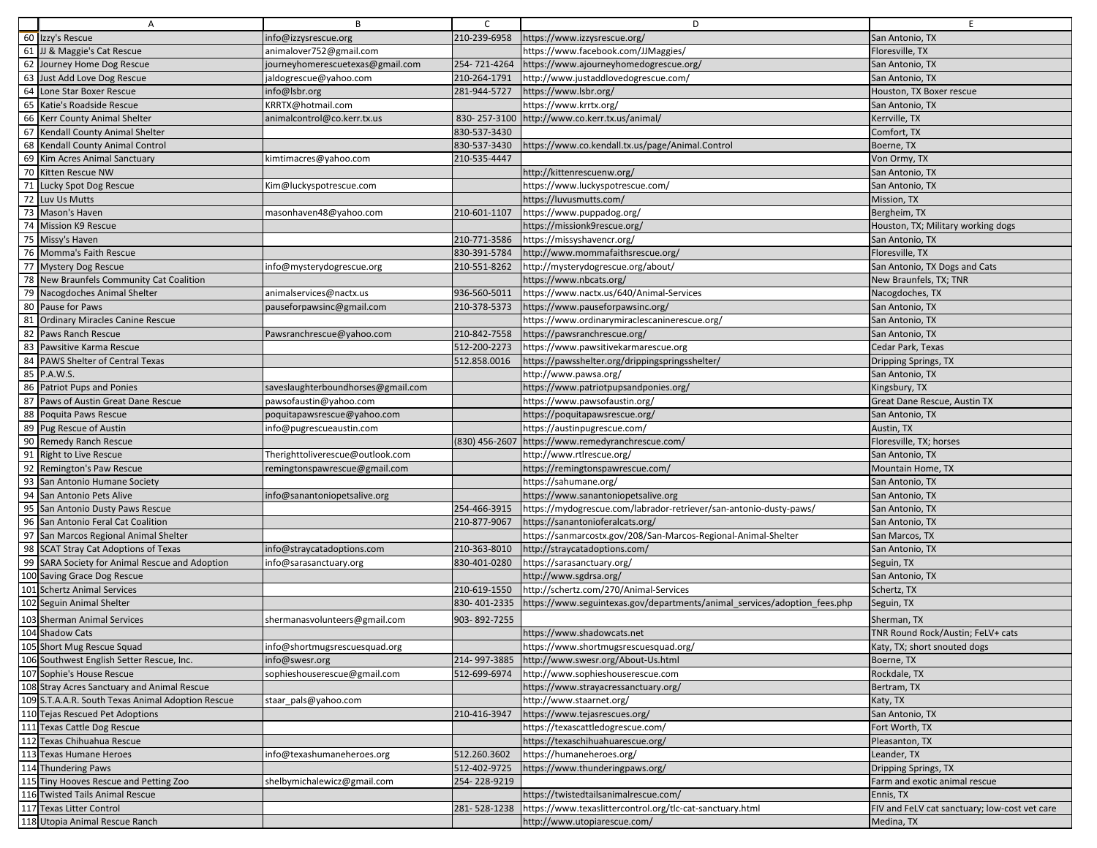|                 | A                                                                         | B                                  | $\mathsf{C}$   | D                                                                         | E                                             |
|-----------------|---------------------------------------------------------------------------|------------------------------------|----------------|---------------------------------------------------------------------------|-----------------------------------------------|
|                 | 60 Izzy's Rescue                                                          | info@izzysrescue.org               | 210-239-6958   | https://www.izzysrescue.org/                                              | San Antonio, TX                               |
| 61              | JJ & Maggie's Cat Rescue                                                  | animalover752@gmail.com            |                | https://www.facebook.com/JJMaggies/                                       | Floresville, TX                               |
|                 | 62 Journey Home Dog Rescue                                                | journeyhomerescuetexas@gmail.com   | 254-721-4264   | https://www.ajourneyhomedogrescue.org/                                    | San Antonio, TX                               |
| 63              | Just Add Love Dog Rescue                                                  | jaldogrescue@yahoo.com             | 210-264-1791   | http://www.justaddlovedogrescue.com/                                      | San Antonio, TX                               |
| 64              | Lone Star Boxer Rescue                                                    | info@lsbr.org                      | 281-944-5727   | https://www.lsbr.org/                                                     | Houston, TX Boxer rescue                      |
| 65              | Katie's Roadside Rescue                                                   | KRRTX@hotmail.com                  |                | https://www.krrtx.org/                                                    | San Antonio, TX                               |
| 66              | Kerr County Animal Shelter                                                | animalcontrol@co.kerr.tx.us        |                | 830-257-3100 http://www.co.kerr.tx.us/animal/                             | Kerrville, TX                                 |
| 67              | Kendall County Animal Shelter                                             |                                    | 830-537-3430   |                                                                           | Comfort, TX                                   |
| 68              | Kendall County Animal Control                                             |                                    | 830-537-3430   | https://www.co.kendall.tx.us/page/Animal.Control                          | Boerne, TX                                    |
| 69              | Kim Acres Animal Sanctuary                                                | kimtimacres@yahoo.com              | 210-535-4447   |                                                                           | Von Ormy, TX                                  |
| 70              | Kitten Rescue NW                                                          |                                    |                | http://kittenrescuenw.org/                                                | San Antonio, TX                               |
| 71              | Lucky Spot Dog Rescue                                                     | Kim@luckyspotrescue.com            |                | https://www.luckyspotrescue.com/                                          | San Antonio, TX                               |
| 72              | Luv Us Mutts                                                              |                                    |                | https://luvusmutts.com/                                                   | Mission, TX                                   |
| 73              | Mason's Haven                                                             | masonhaven48@yahoo.com             | 210-601-1107   | https://www.puppadog.org/                                                 | Bergheim, TX                                  |
| 74              | <b>Mission K9 Rescue</b>                                                  |                                    |                | https://missionk9rescue.org/                                              | Houston, TX; Military working dogs            |
| 75              | Missy's Haven                                                             |                                    | 210-771-3586   | https://missyshavencr.org/                                                | San Antonio, TX                               |
|                 | 76 Momma's Faith Rescue                                                   |                                    | 830-391-5784   | http://www.mommafaithsrescue.org/                                         | Floresville, TX                               |
| $\overline{77}$ | <b>Mystery Dog Rescue</b>                                                 | info@mysterydogrescue.org          | 210-551-8262   | http://mysterydogrescue.org/about/                                        | San Antonio, TX Dogs and Cats                 |
| 78              | New Braunfels Community Cat Coalition                                     |                                    |                | https://www.nbcats.org/                                                   | New Braunfels, TX; TNR                        |
| 79              | Nacogdoches Animal Shelter                                                | animalservices@nactx.us            | 936-560-5011   | https://www.nactx.us/640/Animal-Services                                  | Nacogdoches, TX                               |
|                 | 80 Pause for Paws                                                         | pauseforpawsinc@gmail.com          | 210-378-5373   | https://www.pauseforpawsinc.org/                                          | San Antonio, TX                               |
| 81              | <b>Ordinary Miracles Canine Rescue</b>                                    |                                    |                | https://www.ordinarymiraclescaninerescue.org/                             | San Antonio, TX                               |
| 82              | Paws Ranch Rescue                                                         | Pawsranchrescue@yahoo.com          | 210-842-7558   | https://pawsranchrescue.org/                                              | San Antonio, TX                               |
| 83              | Pawsitive Karma Rescue                                                    |                                    | 512-200-2273   | https://www.pawsitivekarmarescue.org                                      | Cedar Park, Texas                             |
| 84              | PAWS Shelter of Central Texas                                             |                                    | 512.858.0016   | https://pawsshelter.org/drippingspringsshelter/                           | Dripping Springs, TX                          |
|                 | 85 P.A.W.S.                                                               |                                    |                | http://www.pawsa.org/                                                     | San Antonio, TX                               |
| 86              | <b>Patriot Pups and Ponies</b>                                            | saveslaughterboundhorses@gmail.com |                | https://www.patriotpupsandponies.org/                                     | Kingsbury, TX                                 |
| 87              | Paws of Austin Great Dane Rescue                                          | pawsofaustin@yahoo.com             |                | https://www.pawsofaustin.org/                                             | Great Dane Rescue, Austin TX                  |
| 88              | Poquita Paws Rescue                                                       | poquitapawsrescue@yahoo.com        |                | https://poquitapawsrescue.org/                                            | San Antonio, TX                               |
|                 | 89 Pug Rescue of Austin                                                   | info@pugrescueaustin.com           |                | https://austinpugrescue.com/                                              | Austin, TX                                    |
| 90              | <b>Remedy Ranch Rescue</b>                                                |                                    | (830) 456-2607 | https://www.remedyranchrescue.com/                                        | Floresville, TX; horses                       |
|                 | 91 Right to Live Rescue                                                   | Therighttoliverescue@outlook.com   |                | http://www.rtlrescue.org/                                                 | San Antonio, TX                               |
| 92              | Remington's Paw Rescue                                                    | remingtonspawrescue@gmail.com      |                | https://remingtonspawrescue.com/                                          | Mountain Home, TX                             |
| 93              | San Antonio Humane Society                                                |                                    |                | https://sahumane.org/                                                     | San Antonio, TX                               |
| 94              | San Antonio Pets Alive                                                    | nfo@sanantoniopetsalive.org        |                | https://www.sanantoniopetsalive.org                                       | San Antonio, TX                               |
| 95              | San Antonio Dusty Paws Rescue                                             |                                    | 254-466-3915   | https://mydogrescue.com/labrador-retriever/san-antonio-dusty-paws/        | San Antonio, TX                               |
| 96              | San Antonio Feral Cat Coalition                                           |                                    | 210-877-9067   | https://sanantonioferalcats.org/                                          | San Antonio, TX                               |
|                 | 97 San Marcos Regional Animal Shelter                                     |                                    |                | https://sanmarcostx.gov/208/San-Marcos-Regional-Animal-Shelter            | San Marcos, TX                                |
| 98              | <b>SCAT Stray Cat Adoptions of Texas</b>                                  | info@straycatadoptions.com         | 210-363-8010   | http://straycatadoptions.com/                                             | San Antonio, TX                               |
| 99              | SARA Society for Animal Rescue and Adoption                               | info@sarasanctuary.org             | 830-401-0280   | https://sarasanctuary.org/                                                | Seguin, TX                                    |
|                 | 100 Saving Grace Dog Rescue                                               |                                    |                | http://www.sgdrsa.org/                                                    | San Antonio, TX                               |
|                 | 101 Schertz Animal Services                                               |                                    | 210-619-1550   | http://schertz.com/270/Animal-Services                                    | Schertz, TX                                   |
|                 | 102 Seguin Animal Shelter                                                 |                                    | 830-401-2335   | https://www.seguintexas.gov/departments/animal_services/adoption_fees.php | Seguin, TX                                    |
|                 | 103 Sherman Animal Services                                               | shermanasvolunteers@gmail.com      | 903-892-7255   |                                                                           | Sherman, TX                                   |
|                 | 104 Shadow Cats                                                           |                                    |                | https://www.shadowcats.net                                                | TNR Round Rock/Austin; FeLV+ cats             |
|                 | 105 Short Mug Rescue Squad                                                | info@shortmugsrescuesquad.org      |                | https://www.shortmugsrescuesquad.org/                                     | Katy, TX; short snouted dogs                  |
|                 | 106 Southwest English Setter Rescue, Inc.                                 | info@swesr.org                     | 214-997-3885   | http://www.swesr.org/About-Us.html                                        | Boerne, TX                                    |
|                 | 107 Sophie's House Rescue                                                 | sophieshouserescue@gmail.com       | 512-699-6974   | http://www.sophieshouserescue.com                                         | Rockdale, TX                                  |
|                 | 108 Stray Acres Sanctuary and Animal Rescue                               |                                    |                | https://www.strayacressanctuary.org/                                      | Bertram, TX                                   |
|                 | 109 S.T.A.A.R. South Texas Animal Adoption Rescue                         | staar_pals@yahoo.com               |                | http://www.staarnet.org/                                                  | Katy, TX                                      |
|                 | 110 Tejas Rescued Pet Adoptions                                           |                                    | 210-416-3947   | https://www.tejasrescues.org/                                             | San Antonio, TX                               |
|                 | 111 Texas Cattle Dog Rescue                                               |                                    |                | https://texascattledogrescue.com/                                         | Fort Worth, TX                                |
|                 | 112 Texas Chihuahua Rescue                                                |                                    |                | https://texaschihuahuarescue.org/                                         | Pleasanton, TX                                |
|                 | 113 Texas Humane Heroes                                                   | nfo@texashumaneheroes.org          | 512.260.3602   | https://humaneheroes.org/                                                 | Leander, TX                                   |
|                 | 114 Thundering Paws                                                       |                                    | 512-402-9725   | https://www.thunderingpaws.org/                                           | Dripping Springs, TX                          |
|                 | 115 Tiny Hooves Rescue and Petting Zoo<br>116 Twisted Tails Animal Rescue | shelbymichalewicz@gmail.com        | 254-228-9219   | https://twistedtailsanimalrescue.com/                                     | Farm and exotic animal rescue                 |
|                 | 117 Texas Litter Control                                                  |                                    |                | https://www.texaslittercontrol.org/tlc-cat-sanctuary.html                 | Ennis, TX                                     |
|                 |                                                                           |                                    | 281-528-1238   |                                                                           | FIV and FeLV cat sanctuary; low-cost vet care |
|                 | 118 Utopia Animal Rescue Ranch                                            |                                    |                | http://www.utopiarescue.com/                                              | Medina, TX                                    |